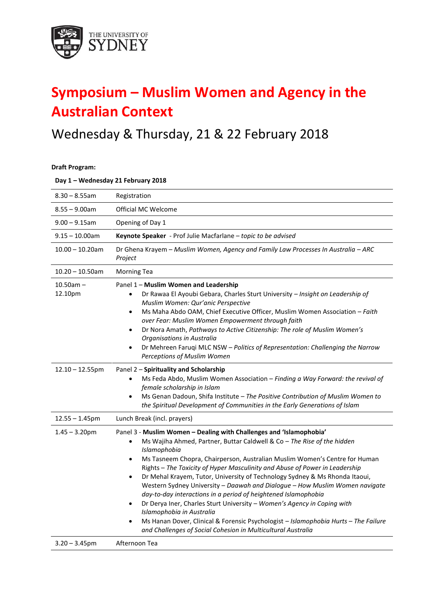

## **Symposium – Muslim Women and Agency in the Australian Context**

## Wednesday & Thursday, 21 & 22 February 2018

**Draft Program:**

**Day 1 – Wednesday 21 February 2018**

| $8.30 - 8.55$ am          | Registration                                                                                                                                                                                                                                                                                                                                                                                                                                                                                                                                                                                                                                                                                                                                                                                                                                                                                |
|---------------------------|---------------------------------------------------------------------------------------------------------------------------------------------------------------------------------------------------------------------------------------------------------------------------------------------------------------------------------------------------------------------------------------------------------------------------------------------------------------------------------------------------------------------------------------------------------------------------------------------------------------------------------------------------------------------------------------------------------------------------------------------------------------------------------------------------------------------------------------------------------------------------------------------|
| $8.55 - 9.00$ am          | Official MC Welcome                                                                                                                                                                                                                                                                                                                                                                                                                                                                                                                                                                                                                                                                                                                                                                                                                                                                         |
| $9.00 - 9.15$ am          | Opening of Day 1                                                                                                                                                                                                                                                                                                                                                                                                                                                                                                                                                                                                                                                                                                                                                                                                                                                                            |
| $9.15 - 10.00$ am         | Keynote Speaker - Prof Julie Macfarlane - topic to be advised                                                                                                                                                                                                                                                                                                                                                                                                                                                                                                                                                                                                                                                                                                                                                                                                                               |
| $10.00 - 10.20$ am        | Dr Ghena Krayem - Muslim Women, Agency and Family Law Processes In Australia - ARC<br>Project                                                                                                                                                                                                                                                                                                                                                                                                                                                                                                                                                                                                                                                                                                                                                                                               |
| $10.20 - 10.50$ am        | <b>Morning Tea</b>                                                                                                                                                                                                                                                                                                                                                                                                                                                                                                                                                                                                                                                                                                                                                                                                                                                                          |
| $10.50$ am $-$<br>12.10pm | Panel 1 - Muslim Women and Leadership<br>Dr Rawaa El Ayoubi Gebara, Charles Sturt University - Insight on Leadership of<br>Muslim Women: Qur'anic Perspective<br>Ms Maha Abdo OAM, Chief Executive Officer, Muslim Women Association - Faith<br>$\bullet$<br>over Fear: Muslim Women Empowerment through faith<br>Dr Nora Amath, Pathways to Active Citizenship: The role of Muslim Women's<br>$\bullet$<br>Organisations in Australia<br>Dr Mehreen Faruqi MLC NSW - Politics of Representation: Challenging the Narrow<br>$\bullet$<br>Perceptions of Muslim Women                                                                                                                                                                                                                                                                                                                        |
| $12.10 - 12.55$ pm        | Panel 2 - Spirituality and Scholarship<br>Ms Feda Abdo, Muslim Women Association - Finding a Way Forward: the revival of<br>$\bullet$<br>female scholarship in Islam<br>Ms Genan Dadoun, Shifa Institute - The Positive Contribution of Muslim Women to<br>$\bullet$<br>the Spiritual Development of Communities in the Early Generations of Islam                                                                                                                                                                                                                                                                                                                                                                                                                                                                                                                                          |
| $12.55 - 1.45$ pm         | Lunch Break (incl. prayers)                                                                                                                                                                                                                                                                                                                                                                                                                                                                                                                                                                                                                                                                                                                                                                                                                                                                 |
| $1.45 - 3.20$ pm          | Panel 3 - Muslim Women - Dealing with Challenges and 'Islamophobia'<br>Ms Wajiha Ahmed, Partner, Buttar Caldwell & Co - The Rise of the hidden<br>$\bullet$<br>Islamophobia<br>Ms Tasneem Chopra, Chairperson, Australian Muslim Women's Centre for Human<br>$\bullet$<br>Rights - The Toxicity of Hyper Masculinity and Abuse of Power in Leadership<br>Dr Mehal Krayem, Tutor, University of Technology Sydney & Ms Rhonda Itaoui,<br>$\bullet$<br>Western Sydney University - Daawah and Dialogue - How Muslim Women navigate<br>day-to-day interactions in a period of heightened Islamophobia<br>Dr Derya Iner, Charles Sturt University - Women's Agency in Coping with<br>$\bullet$<br>Islamophobia in Australia<br>Ms Hanan Dover, Clinical & Forensic Psychologist - Islamophobia Hurts - The Failure<br>$\bullet$<br>and Challenges of Social Cohesion in Multicultural Australia |
| $3.20 - 3.45$ pm          | Afternoon Tea                                                                                                                                                                                                                                                                                                                                                                                                                                                                                                                                                                                                                                                                                                                                                                                                                                                                               |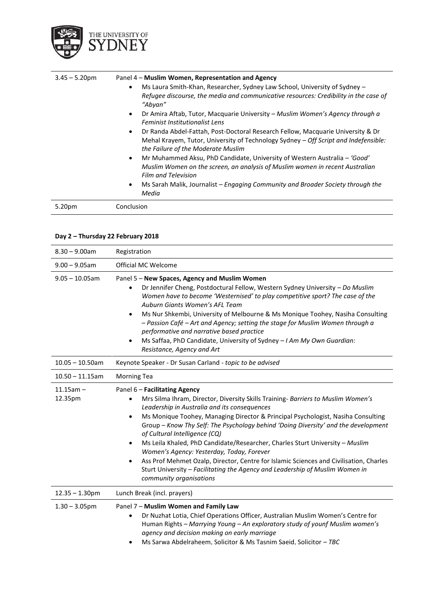

| $3.45 - 5.20$ pm | Panel 4 – Muslim Women, Representation and Agency                                                                                                                                                                                                                                                                          |
|------------------|----------------------------------------------------------------------------------------------------------------------------------------------------------------------------------------------------------------------------------------------------------------------------------------------------------------------------|
|                  | Ms Laura Smith-Khan, Researcher, Sydney Law School, University of Sydney -<br>$\bullet$<br>Refugee discourse, the media and communicative resources: Credibility in the case of<br>"Abyan"<br>Dr Amira Aftab, Tutor, Macquarie University – Muslim Women's Agency through a<br>$\bullet$<br>Feminist Institutionalist Lens |
|                  | Dr Randa Abdel-Fattah, Post-Doctoral Research Fellow, Macquarie University & Dr<br>$\bullet$<br>Mehal Krayem, Tutor, University of Technology Sydney - Off Script and Indefensible:<br>the Failure of the Moderate Muslim                                                                                                  |
|                  | Mr Muhammed Aksu, PhD Candidate, University of Western Australia – 'Good'<br>$\bullet$<br>Muslim Women on the screen, an analysis of Muslim women in recent Australian<br><b>Film and Television</b>                                                                                                                       |
|                  | Ms Sarah Malik, Journalist – Engaging Community and Broader Society through the<br>$\bullet$<br>Media                                                                                                                                                                                                                      |
| 5.20pm           | Conclusion                                                                                                                                                                                                                                                                                                                 |

## **Day 2 – Thursday 22 February 2018**

| $8.30 - 9.00$ am                      | Registration                                                                                                                                                                                                                                                                                                                                                                                                                                                                                                                                                                                                                                                                                                                                                       |
|---------------------------------------|--------------------------------------------------------------------------------------------------------------------------------------------------------------------------------------------------------------------------------------------------------------------------------------------------------------------------------------------------------------------------------------------------------------------------------------------------------------------------------------------------------------------------------------------------------------------------------------------------------------------------------------------------------------------------------------------------------------------------------------------------------------------|
| $9.00 - 9.05$ am                      | Official MC Welcome                                                                                                                                                                                                                                                                                                                                                                                                                                                                                                                                                                                                                                                                                                                                                |
| $9.05 - 10.05$ am                     | Panel 5 - New Spaces, Agency and Muslim Women<br>Dr Jennifer Cheng, Postdoctural Fellow, Western Sydney University - Do Muslim<br>$\bullet$<br>Women have to become 'Westernised' to play competitive sport? The case of the<br>Auburn Giants Women's AFL Team<br>Ms Nur Shkembi, University of Melbourne & Ms Monique Toohey, Nasiha Consulting<br>$\bullet$<br>- Passion Café - Art and Agency; setting the stage for Muslim Women through a<br>performative and narrative based practice<br>Ms Saffaa, PhD Candidate, University of Sydney - I Am My Own Guardian:<br>$\bullet$<br>Resistance, Agency and Art                                                                                                                                                   |
| $10.05 - 10.50$ am                    | Keynote Speaker - Dr Susan Carland - topic to be advised                                                                                                                                                                                                                                                                                                                                                                                                                                                                                                                                                                                                                                                                                                           |
| $10.50 - 11.15$ am                    | <b>Morning Tea</b>                                                                                                                                                                                                                                                                                                                                                                                                                                                                                                                                                                                                                                                                                                                                                 |
| $11.15$ am $-$<br>12.35pm             | Panel 6 - Facilitating Agency<br>Mrs Silma Ihram, Director, Diversity Skills Training- Barriers to Muslim Women's<br>$\bullet$<br>Leadership in Australia and its consequences<br>Ms Monique Toohey, Managing Director & Principal Psychologist, Nasiha Consulting<br>$\bullet$<br>Group - Know Thy Self: The Psychology behind 'Doing Diversity' and the development<br>of Cultural Intelligence (CQ)<br>Ms Leila Khaled, PhD Candidate/Researcher, Charles Sturt University - Muslim<br>$\bullet$<br>Women's Agency: Yesterday, Today, Forever<br>Ass Prof Mehmet Ozalp, Director, Centre for Islamic Sciences and Civilisation, Charles<br>$\bullet$<br>Sturt University - Facilitating the Agency and Leadership of Muslim Women in<br>community organisations |
| $12.35 - 1.30$ pm<br>$1.30 - 3.05$ pm | Lunch Break (incl. prayers)<br>Panel 7 - Muslim Women and Family Law<br>Dr Nuzhat Lotia, Chief Operations Officer, Australian Muslim Women's Centre for<br>$\bullet$<br>Human Rights - Marrying Young - An exploratory study of younf Muslim women's<br>agency and decision making on early marriage<br>Ms Sarwa Abdelraheem. Solicitor & Ms Tasnim Saeid. Solicitor - TBC<br>$\bullet$                                                                                                                                                                                                                                                                                                                                                                            |